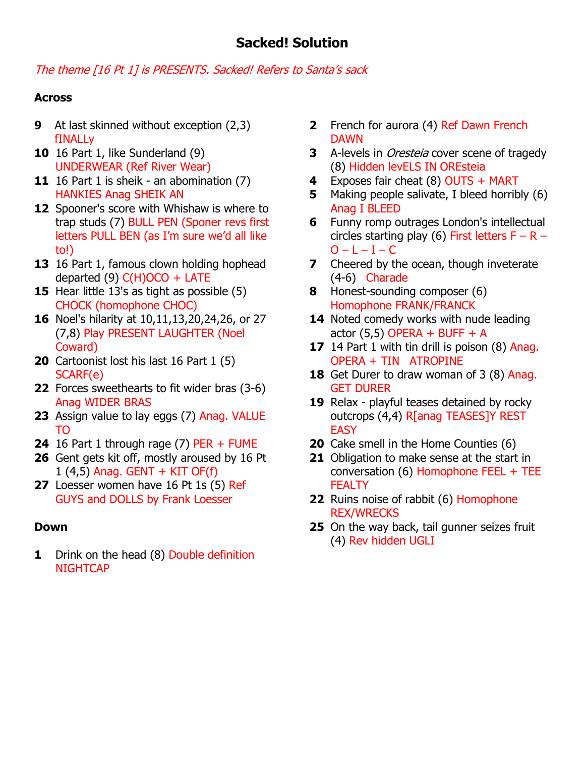## The theme [16 Pt 1] is PRESENTS. Sacked! Refers to Santa's sack

## **Across**

- **9** At last skinned without exception (2,3) fINALLy
- **10** 16 Part 1, like Sunderland (9) UNDERWEAR (Ref River Wear)
- **11** 16 Part 1 is sheik an abomination (7) HANKIES Anag SHEIK AN
- **12** Spooner's score with Whishaw is where to trap studs (7) BULL PEN (Sponer revs first letters PULL BEN (as I'm sure we'd all like to!)
- **13** 16 Part 1, famous clown holding hophead departed (9)  $C(H)OCO + LATE$
- **15** Hear little 13's as tight as possible (5) CHOCK (homophone CHOC)
- **16** Noel's hilarity at 10,11,13,20,24,26, or 27 (7,8) Play PRESENT LAUGHTER (Noel Coward)
- **20** Cartoonist lost his last 16 Part 1 (5) SCARF(e)
- **22** Forces sweethearts to fit wider bras (3-6) Anag WIDER BRAS
- **23** Assign value to lay eggs (7) Anag. VALUE TO
- **24** 16 Part 1 through rage (7) PER + FUME
- **26** Gent gets kit off, mostly aroused by 16 Pt  $1$  (4,5) Anag. GENT + KIT OF(f)
- **27** Loesser women have 16 Pt 1s (5) Ref GUYS and DOLLS by Frank Loesser

## **Down**

**1** Drink on the head (8) Double definition **NIGHTCAP** 

- **2** French for aurora (4) Ref Dawn French DAWN
- **3** A-levels in Oresteia cover scene of tragedy (8) Hidden levELS IN OREsteia
- **4** Exposes fair cheat (8) OUTS + MART
- **5** Making people salivate, I bleed horribly (6) Anag I BLEED
- **6** Funny romp outrages London's intellectual circles starting play (6) First letters  $F - R O - L - I - C$
- **7** Cheered by the ocean, though inveterate (4-6) Charade
- **8** Honest-sounding composer (6) Homophone FRANK/FRANCK
- 14 Noted comedy works with nude leading actor  $(5.5)$  OPERA + BUFF + A
- **17** 14 Part 1 with tin drill is poison (8) Anag. OPERA + TIN ATROPINE
- **18** Get Durer to draw woman of 3 (8) Anag. GET DURER
- **19** Relax playful teases detained by rocky outcrops (4,4) R[anag TEASES]Y REST **EASY**
- **20** Cake smell in the Home Counties (6)
- **21** Obligation to make sense at the start in conversation (6) Homophone FEEL  $+$  TEE **FEALTY**
- **22** Ruins noise of rabbit (6) Homophone REX/WRECKS
- **25** On the way back, tail gunner seizes fruit (4) Rev hidden UGLI